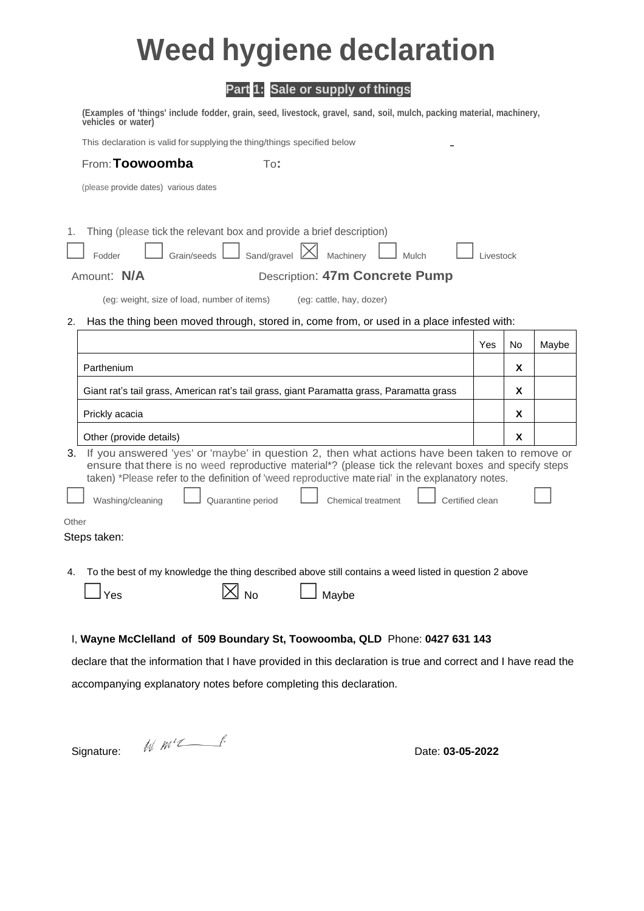## **Weed hygiene declaration**

## **Part 1: Sale or supply of things**

|                                                                                                                                                                  | (Examples of 'things' include fodder, grain, seed, livestock, gravel, sand, soil, mulch, packing material, machinery,<br>vehicles or water)                                                                                                                                                                   |     |    |       |
|------------------------------------------------------------------------------------------------------------------------------------------------------------------|---------------------------------------------------------------------------------------------------------------------------------------------------------------------------------------------------------------------------------------------------------------------------------------------------------------|-----|----|-------|
|                                                                                                                                                                  | This declaration is valid for supplying the thing/things specified below                                                                                                                                                                                                                                      |     |    |       |
|                                                                                                                                                                  | From: Toowoomba<br>To:                                                                                                                                                                                                                                                                                        |     |    |       |
|                                                                                                                                                                  | (please provide dates) various dates                                                                                                                                                                                                                                                                          |     |    |       |
| Thing (please tick the relevant box and provide a brief description)<br>1.<br>Sand/gravel $ \times $<br>Machinery<br>Grain/seeds<br>Fodder<br>Mulch<br>Livestock |                                                                                                                                                                                                                                                                                                               |     |    |       |
| <b>Description: 47m Concrete Pump</b><br>Amount: N/A                                                                                                             |                                                                                                                                                                                                                                                                                                               |     |    |       |
|                                                                                                                                                                  | (eg: weight, size of load, number of items)<br>(eg: cattle, hay, dozer)                                                                                                                                                                                                                                       |     |    |       |
| 2.                                                                                                                                                               | Has the thing been moved through, stored in, come from, or used in a place infested with:                                                                                                                                                                                                                     |     |    |       |
|                                                                                                                                                                  |                                                                                                                                                                                                                                                                                                               | Yes | No | Maybe |
|                                                                                                                                                                  | Parthenium                                                                                                                                                                                                                                                                                                    |     | X  |       |
|                                                                                                                                                                  | Giant rat's tail grass, American rat's tail grass, giant Paramatta grass, Paramatta grass                                                                                                                                                                                                                     |     | X  |       |
|                                                                                                                                                                  | Prickly acacia                                                                                                                                                                                                                                                                                                |     | X  |       |
|                                                                                                                                                                  | Other (provide details)                                                                                                                                                                                                                                                                                       |     | X  |       |
| 3.                                                                                                                                                               | If you answered 'yes' or 'maybe' in question 2, then what actions have been taken to remove or<br>ensure that there is no weed reproductive material*? (please tick the relevant boxes and specify steps<br>taken) *Please refer to the definition of 'weed reproductive mate rial' in the explanatory notes. |     |    |       |
|                                                                                                                                                                  | Quarantine period<br>Washing/cleaning<br>Certified clean<br><b>Chemical treatment</b>                                                                                                                                                                                                                         |     |    |       |
| Other                                                                                                                                                            |                                                                                                                                                                                                                                                                                                               |     |    |       |
|                                                                                                                                                                  | Steps taken:                                                                                                                                                                                                                                                                                                  |     |    |       |
|                                                                                                                                                                  | 4. To the best of my knowledge the thing described above still contains a weed listed in question 2 above                                                                                                                                                                                                     |     |    |       |
|                                                                                                                                                                  | <b>No</b><br>Maybe                                                                                                                                                                                                                                                                                            |     |    |       |
|                                                                                                                                                                  | Yes                                                                                                                                                                                                                                                                                                           |     |    |       |
|                                                                                                                                                                  |                                                                                                                                                                                                                                                                                                               |     |    |       |
| I, Wayne McClelland of 509 Boundary St, Toowoomba, QLD Phone: 0427 631 143                                                                                       |                                                                                                                                                                                                                                                                                                               |     |    |       |
| declare that the information that I have provided in this declaration is true and correct and I have read the                                                    |                                                                                                                                                                                                                                                                                                               |     |    |       |
| accompanying explanatory notes before completing this declaration.                                                                                               |                                                                                                                                                                                                                                                                                                               |     |    |       |
|                                                                                                                                                                  |                                                                                                                                                                                                                                                                                                               |     |    |       |
|                                                                                                                                                                  | $W$ $m$ $\ell$<br>Signature:<br>Date: 03-05-2022                                                                                                                                                                                                                                                              |     |    |       |